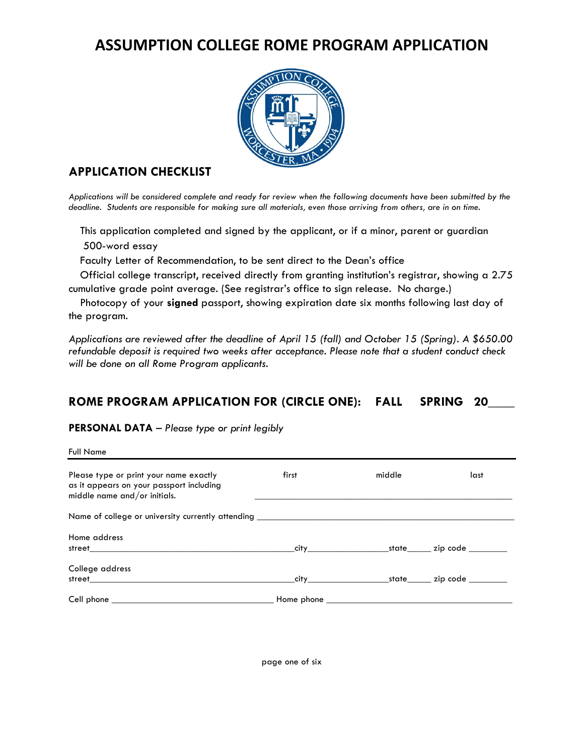# **ASSUMPTION COLLEGE ROME PROGRAM APPLICATION**



# **APPLICATION CHECKLIST**

*Applications will be considered complete and ready for review when the following documents have been submitted by the deadline. Students are responsible for making sure all materials, even those arriving from others, are in on time.*

 This application completed and signed by the applicant, or if a minor, parent or guardian 500-word essay

Faculty Letter of Recommendation, to be sent direct to the Dean's office

 Official college transcript, received directly from granting institution's registrar, showing a 2.75 cumulative grade point average. (See registrar's office to sign release. No charge.)

 Photocopy of your **signed** passport, showing expiration date six months following last day of the program.

*Applications are reviewed after the deadline of April 15 (fall) and October 15 (Spring). A \$650.00 refundable deposit is required two weeks after acceptance. Please note that a student conduct check will be done on all Rome Program applicants.*

## **ROME PROGRAM APPLICATION FOR (CIRCLE ONE): FALL SPRING 20\_\_\_\_**

#### **PERSONAL DATA** – *Please type or print legibly*

| <b>Full Name</b>                                                                                                   |       |        |      |
|--------------------------------------------------------------------------------------------------------------------|-------|--------|------|
| Please type or print your name exactly<br>as it appears on your passport including<br>middle name and/or initials. | first | middle | last |
| Name of college or university currently attending ______________________________                                   |       |        |      |
| Home address                                                                                                       |       |        |      |
| College address                                                                                                    |       |        |      |
|                                                                                                                    |       |        |      |

page one of six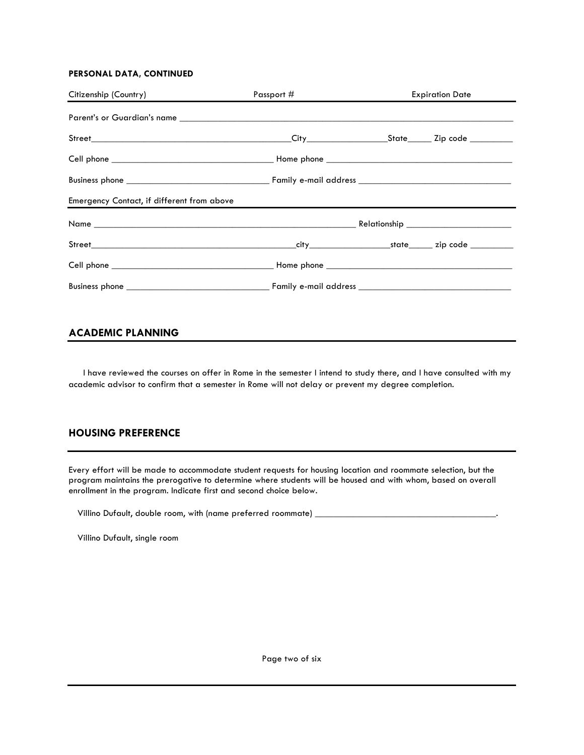#### **PERSONAL DATA, CONTINUED**

| Citizenship (Country)                      | Passport # |  | <b>Expiration Date</b> |
|--------------------------------------------|------------|--|------------------------|
|                                            |            |  |                        |
|                                            |            |  |                        |
|                                            |            |  |                        |
|                                            |            |  |                        |
| Emergency Contact, if different from above |            |  |                        |
|                                            |            |  |                        |
|                                            |            |  |                        |
|                                            |            |  |                        |
|                                            |            |  |                        |

## **ACADEMIC PLANNING**

 I have reviewed the courses on offer in Rome in the semester I intend to study there, and I have consulted with my academic advisor to confirm that a semester in Rome will not delay or prevent my degree completion.

#### **HOUSING PREFERENCE**

Every effort will be made to accommodate student requests for housing location and roommate selection, but the program maintains the prerogative to determine where students will be housed and with whom, based on overall enrollment in the program. Indicate first and second choice below.

Villino Dufault, double room, with (name preferred roommate) \_

Villino Dufault, single room

Page two of six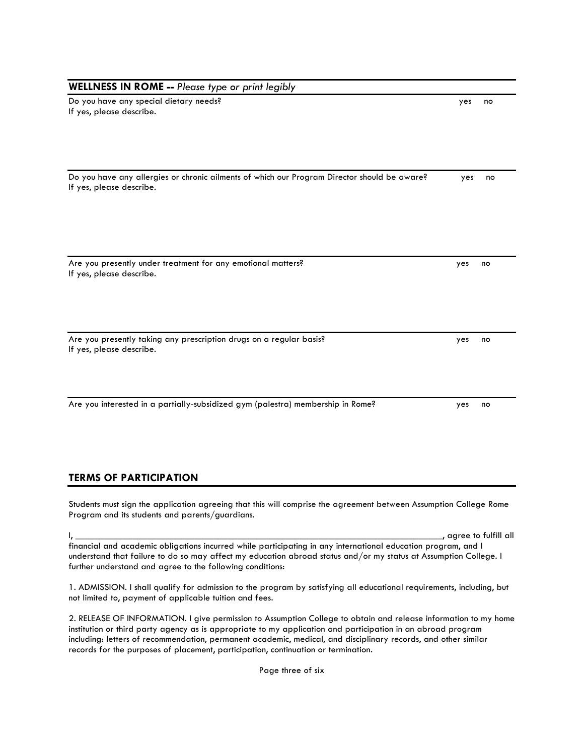| <b>WELLNESS IN ROME -- Please type or print legibly</b>                                                                                                              |     |                        |
|----------------------------------------------------------------------------------------------------------------------------------------------------------------------|-----|------------------------|
| Do you have any special dietary needs?<br>If yes, please describe.                                                                                                   | yes | no                     |
|                                                                                                                                                                      |     |                        |
| Do you have any allergies or chronic ailments of which our Program Director should be aware?<br>If yes, please describe.                                             | yes | no                     |
|                                                                                                                                                                      |     |                        |
| Are you presently under treatment for any emotional matters?<br>If yes, please describe.                                                                             | yes | no                     |
|                                                                                                                                                                      |     |                        |
| Are you presently taking any prescription drugs on a regular basis?<br>If yes, please describe.                                                                      | yes | no                     |
| Are you interested in a partially-subsidized gym (palestra) membership in Rome?                                                                                      | yes | no                     |
| <b>TERMS OF PARTICIPATION</b>                                                                                                                                        |     |                        |
| Students must sign the application agreeing that this will comprise the agreement between Assumption College Rome<br>Program and its students and parents/guardians. |     |                        |
|                                                                                                                                                                      |     | , agree to fulfill all |
| financial and academic obligations incurred while participating in any international education program, and L                                                        |     |                        |

financial and academic obligations incurred while participating in any international education program, and I understand that failure to do so may affect my education abroad status and/or my status at Assumption College. I further understand and agree to the following conditions:

1. ADMISSION. I shall qualify for admission to the program by satisfying all educational requirements, including, but not limited to, payment of applicable tuition and fees.

2. RELEASE OF INFORMATION. I give permission to Assumption College to obtain and release information to my home institution or third party agency as is appropriate to my application and participation in an abroad program including: letters of recommendation, permanent academic, medical, and disciplinary records, and other similar records for the purposes of placement, participation, continuation or termination.

Page three of six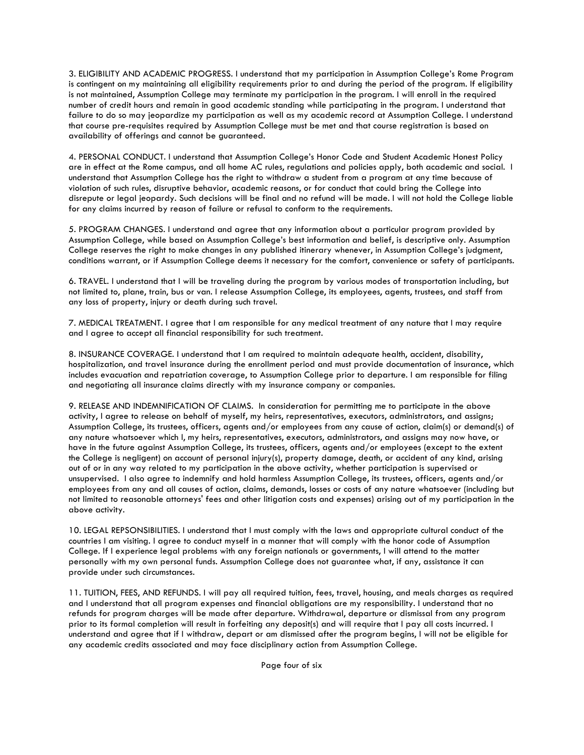3. ELIGIBILITY AND ACADEMIC PROGRESS. I understand that my participation in Assumption College's Rome Program is contingent on my maintaining all eligibility requirements prior to and during the period of the program. If eligibility is not maintained, Assumption College may terminate my participation in the program. I will enroll in the required number of credit hours and remain in good academic standing while participating in the program. I understand that failure to do so may jeopardize my participation as well as my academic record at Assumption College. I understand that course pre-requisites required by Assumption College must be met and that course registration is based on availability of offerings and cannot be guaranteed.

4. PERSONAL CONDUCT. I understand that Assumption College's Honor Code and Student Academic Honest Policy are in effect at the Rome campus, and all home AC rules, regulations and policies apply, both academic and social. I understand that Assumption College has the right to withdraw a student from a program at any time because of violation of such rules, disruptive behavior, academic reasons, or for conduct that could bring the College into disrepute or legal jeopardy. Such decisions will be final and no refund will be made. I will not hold the College liable for any claims incurred by reason of failure or refusal to conform to the requirements.

5. PROGRAM CHANGES. I understand and agree that any information about a particular program provided by Assumption College, while based on Assumption College's best information and belief, is descriptive only. Assumption College reserves the right to make changes in any published itinerary whenever, in Assumption College's judgment, conditions warrant, or if Assumption College deems it necessary for the comfort, convenience or safety of participants.

6. TRAVEL. I understand that I will be traveling during the program by various modes of transportation including, but not limited to, plane, train, bus or van. I release Assumption College, its employees, agents, trustees, and staff from any loss of property, injury or death during such travel.

7. MEDICAL TREATMENT. I agree that I am responsible for any medical treatment of any nature that I may require and I agree to accept all financial responsibility for such treatment.

8. INSURANCE COVERAGE. I understand that I am required to maintain adequate health, accident, disability, hospitalization, and travel insurance during the enrollment period and must provide documentation of insurance, which includes evacuation and repatriation coverage, to Assumption College prior to departure. I am responsible for filing and negotiating all insurance claims directly with my insurance company or companies.

9. RELEASE AND INDEMNIFICATION OF CLAIMS. In consideration for permitting me to participate in the above activity, I agree to release on behalf of myself, my heirs, representatives, executors, administrators, and assigns; Assumption College, its trustees, officers, agents and/or employees from any cause of action, claim(s) or demand(s) of any nature whatsoever which I, my heirs, representatives, executors, administrators, and assigns may now have, or have in the future against Assumption College, its trustees, officers, agents and/or employees (except to the extent the College is negligent) on account of personal injury(s), property damage, death, or accident of any kind, arising out of or in any way related to my participation in the above activity, whether participation is supervised or unsupervised. I also agree to indemnify and hold harmless Assumption College, its trustees, officers, agents and/or employees from any and all causes of action, claims, demands, losses or costs of any nature whatsoever (including but not limited to reasonable attorneys' fees and other litigation costs and expenses) arising out of my participation in the above activity.

10. LEGAL REPSONSIBILITIES. I understand that I must comply with the laws and appropriate cultural conduct of the countries I am visiting. I agree to conduct myself in a manner that will comply with the honor code of Assumption College. If I experience legal problems with any foreign nationals or governments, I will attend to the matter personally with my own personal funds. Assumption College does not guarantee what, if any, assistance it can provide under such circumstances.

11. TUITION, FEES, AND REFUNDS. I will pay all required tuition, fees, travel, housing, and meals charges as required and I understand that all program expenses and financial obligations are my responsibility. I understand that no refunds for program charges will be made after departure. Withdrawal, departure or dismissal from any program prior to its formal completion will result in forfeiting any deposit(s) and will require that I pay all costs incurred. I understand and agree that if I withdraw, depart or am dismissed after the program begins, I will not be eligible for any academic credits associated and may face disciplinary action from Assumption College.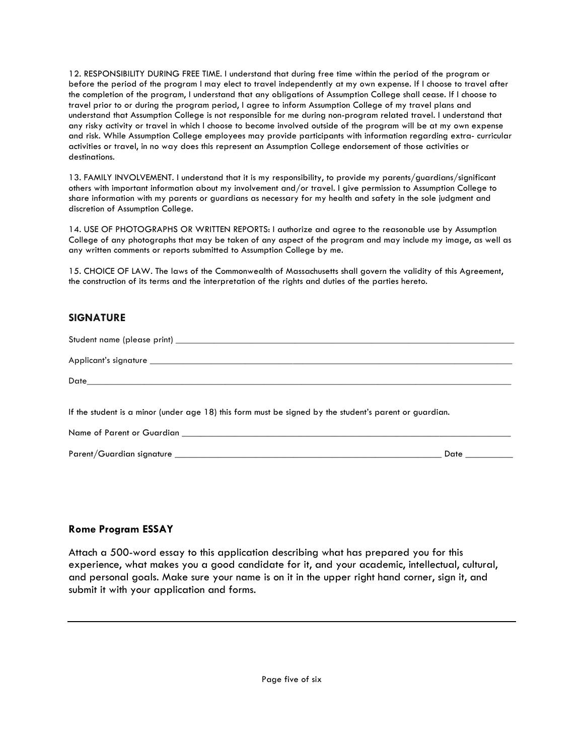12. RESPONSIBILITY DURING FREE TIME. I understand that during free time within the period of the program or before the period of the program I may elect to travel independently at my own expense. If I choose to travel after the completion of the program, I understand that any obligations of Assumption College shall cease. If I choose to travel prior to or during the program period, I agree to inform Assumption College of my travel plans and understand that Assumption College is not responsible for me during non-program related travel. I understand that any risky activity or travel in which I choose to become involved outside of the program will be at my own expense and risk. While Assumption College employees may provide participants with information regarding extra- curricular activities or travel, in no way does this represent an Assumption College endorsement of those activities or destinations.

13. FAMILY INVOLVEMENT. I understand that it is my responsibility, to provide my parents/guardians/significant others with important information about my involvement and/or travel. I give permission to Assumption College to share information with my parents or guardians as necessary for my health and safety in the sole judgment and discretion of Assumption College.

14. USE OF PHOTOGRAPHS OR WRITTEN REPORTS: I authorize and agree to the reasonable use by Assumption College of any photographs that may be taken of any aspect of the program and may include my image, as well as any written comments or reports submitted to Assumption College by me.

15. CHOICE OF LAW. The laws of the Commonwealth of Massachusetts shall govern the validity of this Agreement, the construction of its terms and the interpretation of the rights and duties of the parties hereto.

## **SIGNATURE**

| If the student is a minor (under age 18) this form must be signed by the student's parent or guardian. |                 |
|--------------------------------------------------------------------------------------------------------|-----------------|
|                                                                                                        |                 |
|                                                                                                        | Date __________ |

#### **Rome Program ESSAY**

Attach a 500-word essay to this application describing what has prepared you for this experience, what makes you a good candidate for it, and your academic, intellectual, cultural, and personal goals. Make sure your name is on it in the upper right hand corner, sign it, and submit it with your application and forms.